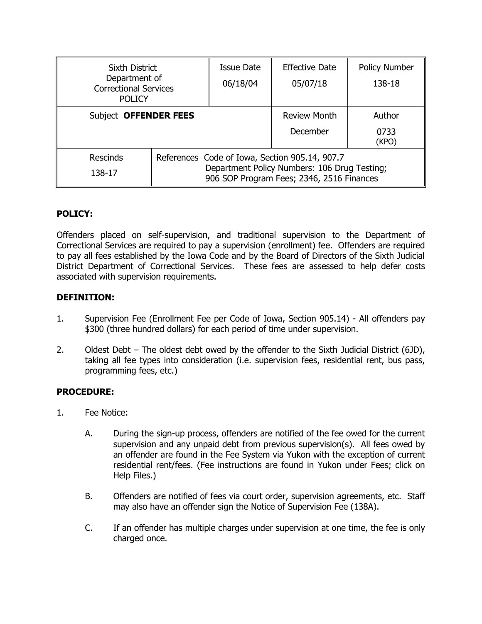| Sixth District<br>Department of<br><b>Correctional Services</b><br><b>POLICY</b> |                                                                                                                                             | Issue Date<br>06/18/04 | <b>Effective Date</b><br>05/07/18 | <b>Policy Number</b><br>138-18 |
|----------------------------------------------------------------------------------|---------------------------------------------------------------------------------------------------------------------------------------------|------------------------|-----------------------------------|--------------------------------|
| Subject OFFENDER FEES                                                            |                                                                                                                                             |                        | <b>Review Month</b><br>December   | Author<br>0733<br>(KPO)        |
| <b>Rescinds</b><br>138-17                                                        | References Code of Iowa, Section 905.14, 907.7<br>Department Policy Numbers: 106 Drug Testing;<br>906 SOP Program Fees; 2346, 2516 Finances |                        |                                   |                                |

# **POLICY:**

Offenders placed on self-supervision, and traditional supervision to the Department of Correctional Services are required to pay a supervision (enrollment) fee. Offenders are required to pay all fees established by the Iowa Code and by the Board of Directors of the Sixth Judicial District Department of Correctional Services. These fees are assessed to help defer costs associated with supervision requirements.

# **DEFINITION:**

- 1. Supervision Fee (Enrollment Fee per Code of Iowa, Section 905.14) All offenders pay \$300 (three hundred dollars) for each period of time under supervision.
- 2. Oldest Debt The oldest debt owed by the offender to the Sixth Judicial District (6JD), taking all fee types into consideration (i.e. supervision fees, residential rent, bus pass, programming fees, etc.)

# **PROCEDURE:**

- 1. Fee Notice:
	- A. During the sign-up process, offenders are notified of the fee owed for the current supervision and any unpaid debt from previous supervision(s). All fees owed by an offender are found in the Fee System via Yukon with the exception of current residential rent/fees. (Fee instructions are found in Yukon under Fees; click on Help Files.)
	- B. Offenders are notified of fees via court order, supervision agreements, etc. Staff may also have an offender sign the Notice of Supervision Fee (138A).
	- C. If an offender has multiple charges under supervision at one time, the fee is only charged once.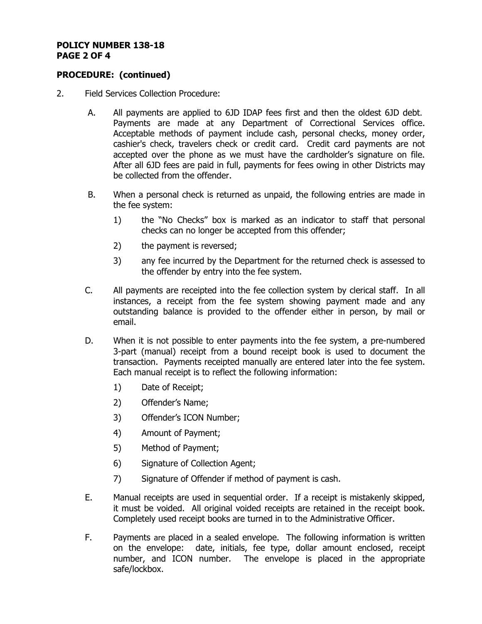### **POLICY NUMBER 138-18 PAGE 2 OF 4**

### **PROCEDURE: (continued)**

- 2. Field Services Collection Procedure:
	- A. All payments are applied to 6JD IDAP fees first and then the oldest 6JD debt. Payments are made at any Department of Correctional Services office. Acceptable methods of payment include cash, personal checks, money order, cashier's check, travelers check or credit card. Credit card payments are not accepted over the phone as we must have the cardholder's signature on file. After all 6JD fees are paid in full, payments for fees owing in other Districts may be collected from the offender.
	- B. When a personal check is returned as unpaid, the following entries are made in the fee system:
		- 1) the "No Checks" box is marked as an indicator to staff that personal checks can no longer be accepted from this offender;
		- 2) the payment is reversed;
		- 3) any fee incurred by the Department for the returned check is assessed to the offender by entry into the fee system.
	- C. All payments are receipted into the fee collection system by clerical staff. In all instances, a receipt from the fee system showing payment made and any outstanding balance is provided to the offender either in person, by mail or email.
	- D. When it is not possible to enter payments into the fee system, a pre-numbered 3-part (manual) receipt from a bound receipt book is used to document the transaction. Payments receipted manually are entered later into the fee system. Each manual receipt is to reflect the following information:
		- 1) Date of Receipt;
		- 2) Offender's Name;
		- 3) Offender's ICON Number;
		- 4) Amount of Payment;
		- 5) Method of Payment;
		- 6) Signature of Collection Agent;
		- 7) Signature of Offender if method of payment is cash.
	- E. Manual receipts are used in sequential order. If a receipt is mistakenly skipped, it must be voided. All original voided receipts are retained in the receipt book. Completely used receipt books are turned in to the Administrative Officer.
	- F. Payments are placed in a sealed envelope. The following information is written on the envelope: date, initials, fee type, dollar amount enclosed, receipt number, and ICON number. The envelope is placed in the appropriate safe/lockbox.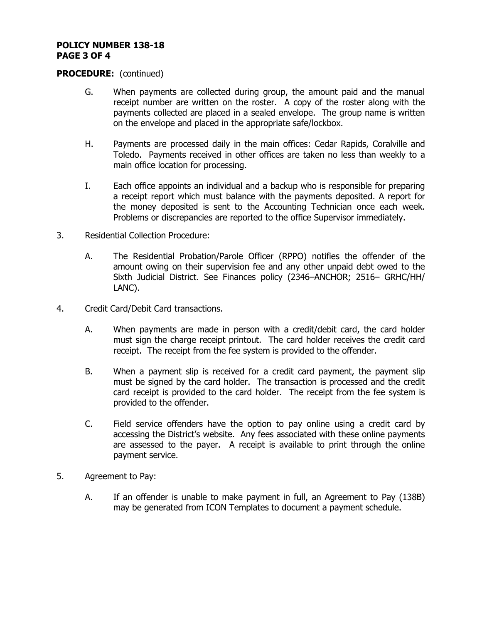#### **POLICY NUMBER 138-18 PAGE 3 OF 4**

### **PROCEDURE:** (continued)

- G. When payments are collected during group, the amount paid and the manual receipt number are written on the roster. A copy of the roster along with the payments collected are placed in a sealed envelope. The group name is written on the envelope and placed in the appropriate safe/lockbox.
- H. Payments are processed daily in the main offices: Cedar Rapids, Coralville and Toledo. Payments received in other offices are taken no less than weekly to a main office location for processing.
- I. Each office appoints an individual and a backup who is responsible for preparing a receipt report which must balance with the payments deposited. A report for the money deposited is sent to the Accounting Technician once each week. Problems or discrepancies are reported to the office Supervisor immediately.
- 3. Residential Collection Procedure:
	- A. The Residential Probation/Parole Officer (RPPO) notifies the offender of the amount owing on their supervision fee and any other unpaid debt owed to the Sixth Judicial District. See Finances policy (2346–ANCHOR; 2516– GRHC/HH/ LANC).
- 4. Credit Card/Debit Card transactions.
	- A. When payments are made in person with a credit/debit card, the card holder must sign the charge receipt printout. The card holder receives the credit card receipt. The receipt from the fee system is provided to the offender.
	- B. When a payment slip is received for a credit card payment, the payment slip must be signed by the card holder. The transaction is processed and the credit card receipt is provided to the card holder. The receipt from the fee system is provided to the offender.
	- C. Field service offenders have the option to pay online using a credit card by accessing the District's website. Any fees associated with these online payments are assessed to the payer. A receipt is available to print through the online payment service.
- 5. Agreement to Pay:
	- A. If an offender is unable to make payment in full, an Agreement to Pay (138B) may be generated from ICON Templates to document a payment schedule.